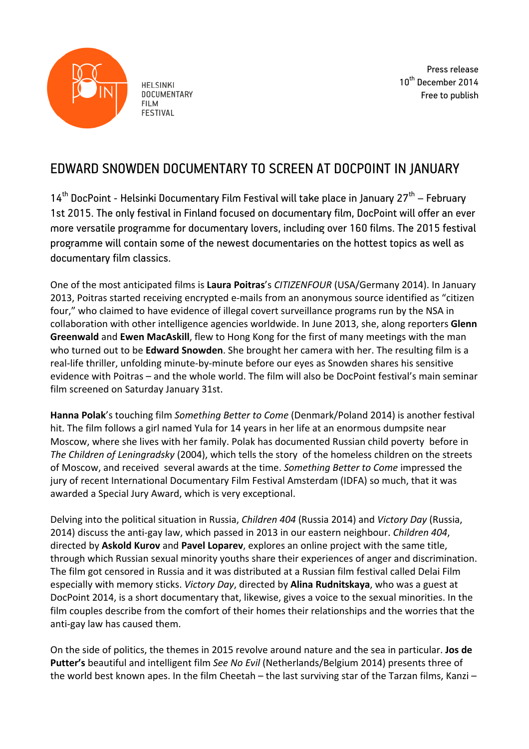

**HELSINKI DOCUMENTARY FILM FESTIVAL** 

Press release 10<sup>th</sup> December 2014 Free to publish

## EDWARD SNOWDEN DOCUMENTARY TO SCREEN AT DOCPOINT IN JANUARY

 $14<sup>th</sup>$  DocPoint - Helsinki Documentary Film Festival will take place in January 27 $<sup>th</sup>$  – February</sup> 1st 2015. The only festival in Finland focused on documentary film, DocPoint will offer an ever more versatile programme for documentary lovers, including over 160 films. The 2015 festival programme will contain some of the newest documentaries on the hottest topics as well as documentary film classics.

One of the most anticipated films is Laura Poitras's *CITIZENFOUR* (USA/Germany 2014). In January 2013, Poitras started receiving encrypted e-mails from an anonymous source identified as "citizen four," who claimed to have evidence of illegal covert surveillance programs run by the NSA in collaboration with other intelligence agencies worldwide. In June 2013, she, along reporters Glenn **Greenwald** and **Ewen MacAskill**, flew to Hong Kong for the first of many meetings with the man who turned out to be Edward Snowden. She brought her camera with her. The resulting film is a real-life thriller, unfolding minute-by-minute before our eyes as Snowden shares his sensitive evidence with Poitras - and the whole world. The film will also be DocPoint festival's main seminar film screened on Saturday January 31st.

**Hanna Polak**'s touching film *Something Better to Come* (Denmark/Poland 2014) is another festival hit. The film follows a girl named Yula for 14 years in her life at an enormous dumpsite near Moscow, where she lives with her family. Polak has documented Russian child poverty before in *The Children of Leningradsky* (2004), which tells the story of the homeless children on the streets of Moscow, and received several awards at the time. Something Better to Come impressed the jury of recent International Documentary Film Festival Amsterdam (IDFA) so much, that it was awarded a Special Jury Award, which is very exceptional.

Delving into the political situation in Russia, *Children 404* (Russia 2014) and *Victory Day* (Russia, 2014) discuss the anti-gay law, which passed in 2013 in our eastern neighbour. *Children 404*, directed by Askold Kurov and Pavel Loparev, explores an online project with the same title, through which Russian sexual minority youths share their experiences of anger and discrimination. The film got censored in Russia and it was distributed at a Russian film festival called Delai Film especially with memory sticks. *Victory Day*, directed by **Alina Rudnitskaya**, who was a guest at DocPoint 2014, is a short documentary that, likewise, gives a voice to the sexual minorities. In the film couples describe from the comfort of their homes their relationships and the worries that the anti-gay law has caused them.

On the side of politics, the themes in 2015 revolve around nature and the sea in particular. Jos de Putter's beautiful and intelligent film See No Evil (Netherlands/Belgium 2014) presents three of the world best known apes. In the film Cheetah – the last surviving star of the Tarzan films, Kanzi –